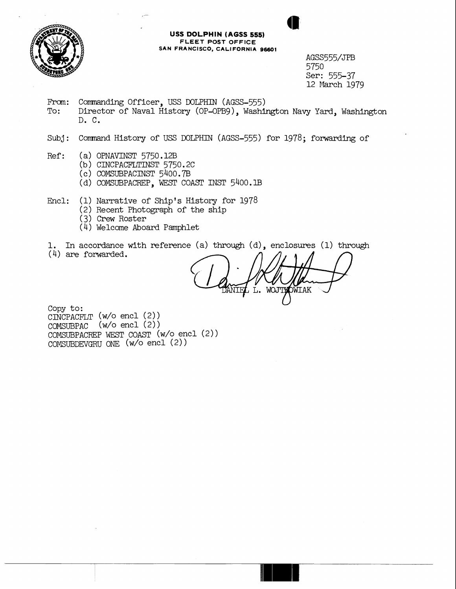

## **USS DOLPHIN (AGSS 555) FLEET POST OFFICE SAN FRANCISCO, CALIFORNIA 96601**

AGSS555/JFB 5750 Ser: 555-37 12 March 1979

From: Commanding Officer, USS DOLPHIN (AGSS-555)<br>To: Director of Naval History (OP-OPB9). Washi Director of Naval History (OP-OPB9), Washington Navy Yard, Washington D. C.

Subj: Command History of USS DOLPHIN (AGSS-555) for 1978; forwarding of

- Ref: (a) OPNAVINST 5750.12B
	- (b) CINCPACFLTINST 5750.2C
	- (c) COMSUBPACINST 5400.7B
	- (d) COMSUBPACREP, WEST COAST INST 5400.1B

Encl: (1) Narrative of Ship's History for 1978

- (2) Recent Photograph of the ship
- (3) Crew Roster
- (4) Welcome Aboard Pamphlet

1. In accordance with reference (a) through  $(d)$ , enclosures (1) through

(4) are forwarded.

WOJTHOWIAK , L.

Copy to: CINCPACFLT (w/o encl (2)) COMSUBPAC (w/o encl (2)) COMSUBPACREP WEST COAST (w/o encl ( 2 ) COMSUBDEVGRU ONE ( W/O encl ( 2 ) )